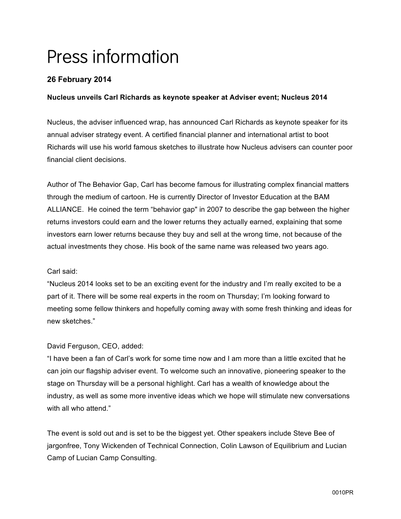# Press information

# **26 February 2014**

## **Nucleus unveils Carl Richards as keynote speaker at Adviser event; Nucleus 2014**

Nucleus, the adviser influenced wrap, has announced Carl Richards as keynote speaker for its annual adviser strategy event. A certified financial planner and international artist to boot Richards will use his world famous sketches to illustrate how Nucleus advisers can counter poor financial client decisions.

Author of The Behavior Gap, Carl has become famous for illustrating complex financial matters through the medium of cartoon. He is currently Director of Investor Education at the BAM ALLIANCE. He coined the term "behavior gap" in 2007 to describe the gap between the higher returns investors could earn and the lower returns they actually earned, explaining that some investors earn lower returns because they buy and sell at the wrong time, not because of the actual investments they chose. His book of the same name was released two years ago.

### Carl said:

"Nucleus 2014 looks set to be an exciting event for the industry and I'm really excited to be a part of it. There will be some real experts in the room on Thursday; I'm looking forward to meeting some fellow thinkers and hopefully coming away with some fresh thinking and ideas for new sketches."

### David Ferguson, CEO, added:

"I have been a fan of Carl's work for some time now and I am more than a little excited that he can join our flagship adviser event. To welcome such an innovative, pioneering speaker to the stage on Thursday will be a personal highlight. Carl has a wealth of knowledge about the industry, as well as some more inventive ideas which we hope will stimulate new conversations with all who attend."

The event is sold out and is set to be the biggest yet. Other speakers include Steve Bee of jargonfree, Tony Wickenden of Technical Connection, Colin Lawson of Equilibrium and Lucian Camp of Lucian Camp Consulting.